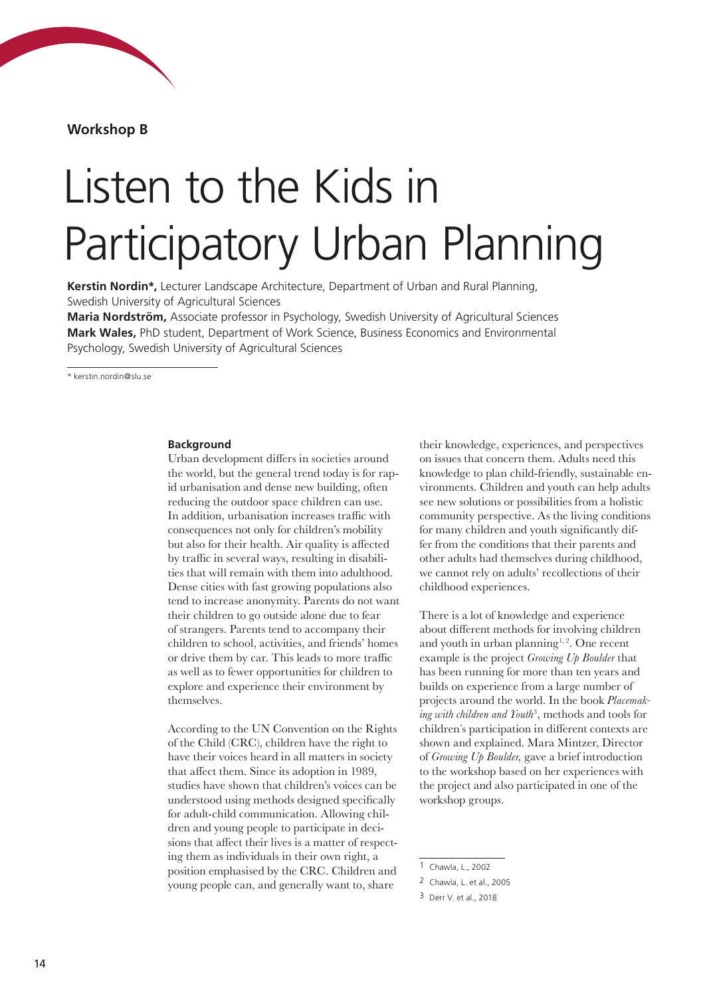**Workshop B**

# Listen to the Kids in Participatory Urban Planning

**Kerstin Nordin\*,** Lecturer Landscape Architecture, Department of Urban and Rural Planning, Swedish University of Agricultural Sciences

**Maria Nordström,** Associate professor in Psychology, Swedish University of Agricultural Sciences **Mark Wales,** PhD student, Department of Work Science, Business Economics and Environmental Psychology, Swedish University of Agricultural Sciences

\* kerstin.nordin@slu.se

## **Background**

Urban development differs in societies around the world, but the general trend today is for rapid urbanisation and dense new building, often reducing the outdoor space children can use. In addition, urbanisation increases traffic with consequences not only for children's mobility but also for their health. Air quality is affected by traffic in several ways, resulting in disabilities that will remain with them into adulthood. Dense cities with fast growing populations also tend to increase anonymity. Parents do not want their children to go outside alone due to fear of strangers. Parents tend to accompany their children to school, activities, and friends' homes or drive them by car. This leads to more traffic as well as to fewer opportunities for children to explore and experience their environment by themselves.

According to the UN Convention on the Rights of the Child (CRC), children have the right to have their voices heard in all matters in society that affect them. Since its adoption in 1989, studies have shown that children's voices can be understood using methods designed specifically for adult-child communication. Allowing children and young people to participate in decisions that affect their lives is a matter of respecting them as individuals in their own right, a position emphasised by the CRC. Children and young people can, and generally want to, share

their knowledge, experiences, and perspectives on issues that concern them. Adults need this knowledge to plan child-friendly, sustainable environments. Children and youth can help adults see new solutions or possibilities from a holistic community perspective. As the living conditions for many children and youth significantly differ from the conditions that their parents and other adults had themselves during childhood, we cannot rely on adults' recollections of their childhood experiences.

There is a lot of knowledge and experience about different methods for involving children and youth in urban planning<sup> $1, 2$ </sup>. One recent example is the project *Growing Up Boulder* that has been running for more than ten years and builds on experience from a large number of projects around the world. In the book *Placemaking with children and Youth*<sup>3</sup> , methods and tools for children´s participation in different contexts are shown and explained. Mara Mintzer, Director of *Growing Up Boulder,* gave a brief introduction to the workshop based on her experiences with the project and also participated in one of the workshop groups.

<sup>1</sup> Chawla, L., 2002

<sup>2</sup> Chawla, L. et al., 2005

<sup>3</sup> Derr V. et al., 2018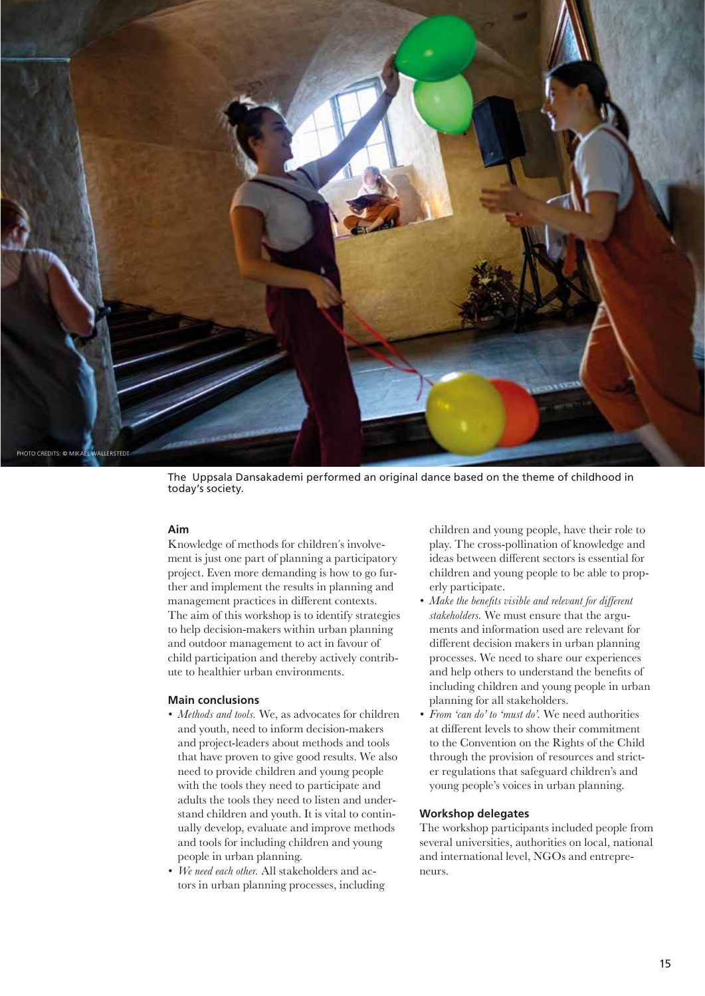

The Uppsala Dansakademi performed an original dance based on the theme of childhood in today's society.

# **Aim**

Knowledge of methods for children´s involvement is just one part of planning a participatory project. Even more demanding is how to go further and implement the results in planning and management practices in different contexts. The aim of this workshop is to identify strategies to help decision-makers within urban planning and outdoor management to act in favour of child participation and thereby actively contribute to healthier urban environments.

#### **Main conclusions**

- *• Methods and tools.* We, as advocates for children and youth, need to inform decision-makers and project-leaders about methods and tools that have proven to give good results. We also need to provide children and young people with the tools they need to participate and adults the tools they need to listen and understand children and youth. It is vital to continually develop, evaluate and improve methods and tools for including children and young people in urban planning.
- *• We need each other.* All stakeholders and actors in urban planning processes, including

children and young people, have their role to play. The cross-pollination of knowledge and ideas between different sectors is essential for children and young people to be able to properly participate.

- *• Make the benefits visible and relevant for different stakeholders.* We must ensure that the arguments and information used are relevant for different decision makers in urban planning processes. We need to share our experiences and help others to understand the benefits of including children and young people in urban planning for all stakeholders.
- *• From 'can do' to 'must do'.* We need authorities at different levels to show their commitment to the Convention on the Rights of the Child through the provision of resources and stricter regulations that safeguard children's and young people's voices in urban planning.

## **Workshop delegates**

The workshop participants included people from several universities, authorities on local, national and international level, NGOs and entrepreneurs.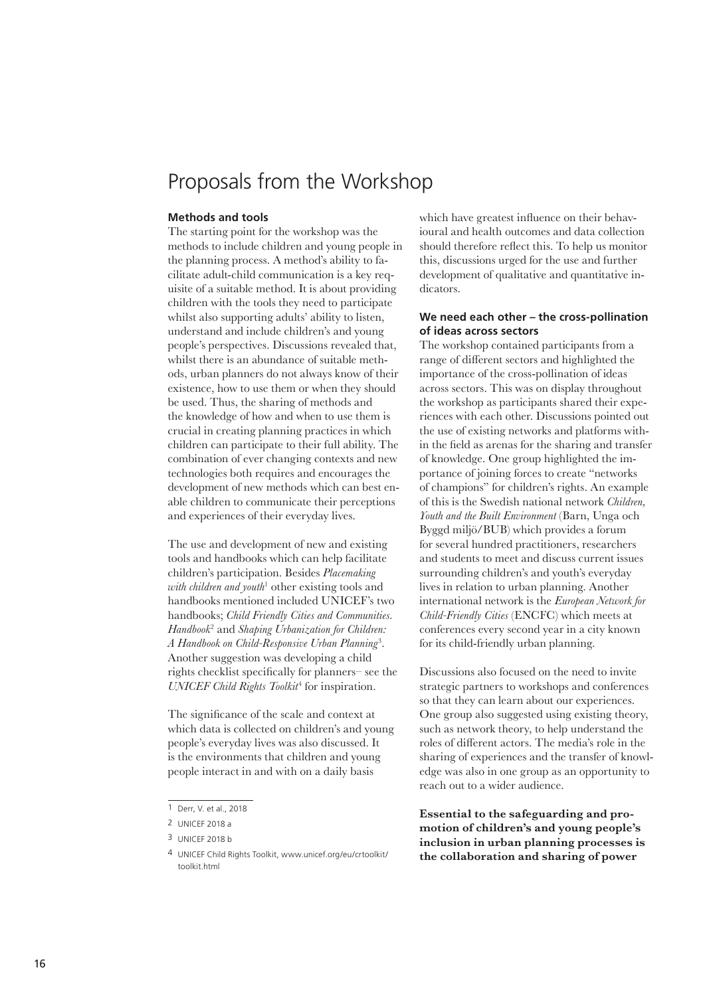# Proposals from the Workshop

#### **Methods and tools**

The starting point for the workshop was the methods to include children and young people in the planning process. A method's ability to facilitate adult-child communication is a key requisite of a suitable method. It is about providing children with the tools they need to participate whilst also supporting adults' ability to listen, understand and include children's and young people's perspectives. Discussions revealed that, whilst there is an abundance of suitable methods, urban planners do not always know of their existence, how to use them or when they should be used. Thus, the sharing of methods and the knowledge of how and when to use them is crucial in creating planning practices in which children can participate to their full ability. The combination of ever changing contexts and new technologies both requires and encourages the development of new methods which can best enable children to communicate their perceptions and experiences of their everyday lives.

The use and development of new and existing tools and handbooks which can help facilitate children's participation. Besides *Placemaking*  with children and youth<sup>1</sup> other existing tools and handbooks mentioned included UNICEF's two handbooks; *Child Friendly Cities and Communities. Handbook*<sup>2</sup> and *Shaping Urbanization for Children: A Handbook on Child-Responsive Urban Planning*<sup>3</sup> . Another suggestion was developing a child rights checklist specifically for planners– see the *UNICEF Child Rights Toolkit*<sup>4</sup> for inspiration.

The significance of the scale and context at which data is collected on children's and young people's everyday lives was also discussed. It is the environments that children and young people interact in and with on a daily basis

which have greatest influence on their behavioural and health outcomes and data collection should therefore reflect this. To help us monitor this, discussions urged for the use and further development of qualitative and quantitative indicators.

# **We need each other – the cross-pollination of ideas across sectors**

The workshop contained participants from a range of different sectors and highlighted the importance of the cross-pollination of ideas across sectors. This was on display throughout the workshop as participants shared their experiences with each other. Discussions pointed out the use of existing networks and platforms within the field as arenas for the sharing and transfer of knowledge. One group highlighted the importance of joining forces to create "networks of champions" for children's rights. An example of this is the Swedish national network *Children, Youth and the Built Environment* (Barn, Unga och Byggd miljö/BUB) which provides a forum for several hundred practitioners, researchers and students to meet and discuss current issues surrounding children's and youth's everyday lives in relation to urban planning. Another international network is the *European Network for Child-Friendly Cities* (ENCFC) which meets at conferences every second year in a city known for its child-friendly urban planning.

Discussions also focused on the need to invite strategic partners to workshops and conferences so that they can learn about our experiences. One group also suggested using existing theory, such as network theory, to help understand the roles of different actors. The media's role in the sharing of experiences and the transfer of knowledge was also in one group as an opportunity to reach out to a wider audience.

**Essential to the safeguarding and promotion of children's and young people's inclusion in urban planning processes is the collaboration and sharing of power** 

<sup>1</sup> Derr, V. et al., 2018

<sup>2</sup> UNICEF 2018 a

<sup>3</sup> UNICEF 2018 b

<sup>4</sup> UNICEF Child Rights Toolkit, www.unicef.org/eu/crtoolkit/ toolkit.html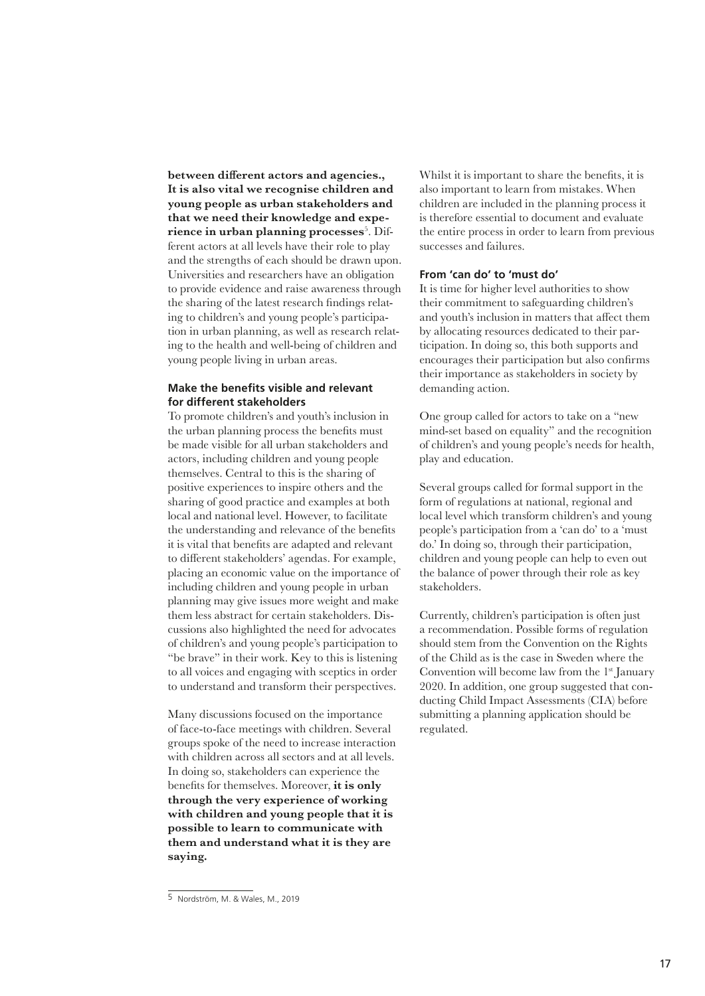**between different actors and agencies., It is also vital we recognise children and young people as urban stakeholders and that we need their knowledge and expe-** ${\bf r}$ ience in urban planning processes $^5$ . Different actors at all levels have their role to play and the strengths of each should be drawn upon. Universities and researchers have an obligation to provide evidence and raise awareness through the sharing of the latest research findings relating to children's and young people's participation in urban planning, as well as research relating to the health and well-being of children and young people living in urban areas.

# **Make the benefits visible and relevant for different stakeholders**

To promote children's and youth's inclusion in the urban planning process the benefits must be made visible for all urban stakeholders and actors, including children and young people themselves. Central to this is the sharing of positive experiences to inspire others and the sharing of good practice and examples at both local and national level. However, to facilitate the understanding and relevance of the benefits it is vital that benefits are adapted and relevant to different stakeholders' agendas. For example, placing an economic value on the importance of including children and young people in urban planning may give issues more weight and make them less abstract for certain stakeholders. Discussions also highlighted the need for advocates of children's and young people's participation to "be brave" in their work. Key to this is listening to all voices and engaging with sceptics in order to understand and transform their perspectives.

Many discussions focused on the importance of face-to-face meetings with children. Several groups spoke of the need to increase interaction with children across all sectors and at all levels. In doing so, stakeholders can experience the benefits for themselves. Moreover, **it is only through the very experience of working with children and young people that it is possible to learn to communicate with them and understand what it is they are saying.** 

Whilst it is important to share the benefits, it is also important to learn from mistakes. When children are included in the planning process it is therefore essential to document and evaluate the entire process in order to learn from previous successes and failures.

#### **From 'can do' to 'must do'**

It is time for higher level authorities to show their commitment to safeguarding children's and youth's inclusion in matters that affect them by allocating resources dedicated to their participation. In doing so, this both supports and encourages their participation but also confirms their importance as stakeholders in society by demanding action.

One group called for actors to take on a "new mind-set based on equality" and the recognition of children's and young people's needs for health, play and education.

Several groups called for formal support in the form of regulations at national, regional and local level which transform children's and young people's participation from a 'can do' to a 'must do.' In doing so, through their participation, children and young people can help to even out the balance of power through their role as key stakeholders.

Currently, children's participation is often just a recommendation. Possible forms of regulation should stem from the Convention on the Rights of the Child as is the case in Sweden where the Convention will become law from the 1<sup>st</sup> January 2020. In addition, one group suggested that conducting Child Impact Assessments (CIA) before submitting a planning application should be regulated.

<sup>5</sup> Nordström, M. & Wales, M., 2019